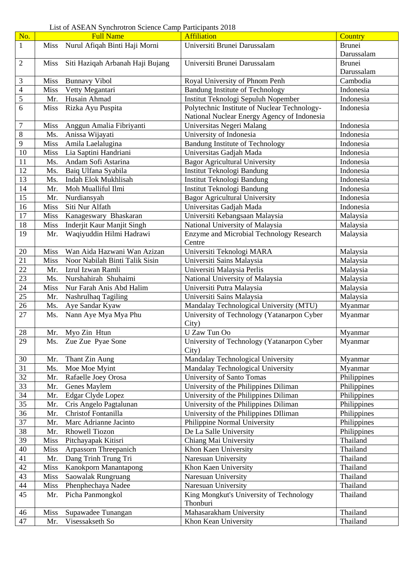| No.            |             | <b>Full Name</b>                     | <b>Affiliation</b>                           | Country                    |
|----------------|-------------|--------------------------------------|----------------------------------------------|----------------------------|
| $\mathbf{1}$   |             | Miss Nurul Afiqah Binti Haji Morni   | Universiti Brunei Darussalam                 | <b>Brunei</b>              |
|                |             |                                      |                                              | Darussalam                 |
| $\overline{2}$ | Miss        | Siti Haziqah Arbanah Haji Bujang     | Universiti Brunei Darussalam                 | <b>Brunei</b>              |
|                |             |                                      |                                              | Darussalam                 |
| 3              | <b>Miss</b> | <b>Bunnavy Vibol</b>                 | Royal University of Phnom Penh               | Cambodia                   |
| $\overline{4}$ | Miss        | Vetty Megantari                      | <b>Bandung Institute of Technology</b>       | Indonesia                  |
| 5              | Mr.         | Husain Ahmad                         | Institut Teknologi Sepuluh Nopember          | Indonesia                  |
| 6              | Miss        | Rizka Ayu Puspita                    | Polytechnic Institute of Nuclear Technology- | Indonesia                  |
|                |             |                                      | National Nuclear Energy Agency of Indonesia  |                            |
| 7              | Miss        | Anggun Amalia Fibriyanti             | Universitas Negeri Malang                    | Indonesia                  |
| $8\,$          | Ms.         | Anissa Wijayati                      | University of Indonesia                      | Indonesia                  |
| 9              | Miss        | Amila Laelalugina                    | <b>Bandung Institute of Technology</b>       | Indonesia                  |
| 10             | Miss        | Lia Saptini Handriani                | Universitas Gadjah Mada                      | Indonesia                  |
| 11             | Ms.         | Andam Sofi Astarina                  | <b>Bagor Agricultural University</b>         | Indonesia                  |
| 12             | Ms.         | Baiq Ulfana Syabila                  | Institut Teknologi Bandung                   | Indonesia                  |
| 13             | Ms.         | Indah Elok Mukhlisah                 | Institut Teknologi Bandung                   | Indonesia                  |
| 14             | Mr.         | Moh Mualliful Ilmi                   | Institut Teknologi Bandung                   | Indonesia                  |
| 15             | Mr.         | Nurdiansyah                          | <b>Bagor Agricultural University</b>         | Indonesia                  |
| 16             | Miss        | Siti Nur Alfath                      | Universitas Gadjah Mada                      | Indonesia                  |
| 17             | <b>Miss</b> | Kanageswary Bhaskaran                | Universiti Kebangsaan Malaysia               | Malaysia                   |
| 18             | <b>Miss</b> | Inderjit Kaur Manjit Singh           | National University of Malaysia              | Malaysia                   |
| 19             | Mr.         | Waqiyuddin Hilmi Hadrawi             | Enzyme and Microbial Technology Research     | Malaysia                   |
|                |             |                                      | Centre                                       |                            |
| 20             | <b>Miss</b> | Wan Aida Hazwani Wan Azizan          | Universiti Teknologi MARA                    | Malaysia                   |
| 21             | <b>Miss</b> | Noor Nabilah Binti Talik Sisin       | Universiti Sains Malaysia                    | Malaysia                   |
| 22             | Mr.         | Izrul Izwan Ramli                    | Universiti Malaysia Perlis                   | Malaysia                   |
| 23             | Ms.         | Nurshahirah Shuhaimi                 | National University of Malaysia              | Malaysia                   |
| 24             | Miss        | Nur Farah Anis Abd Halim             | Universiti Putra Malaysia                    | Malaysia                   |
| 25             | Mr.         | Nashrulhaq Tagiling                  | Universiti Sains Malaysia                    | Malaysia                   |
| 26             | Ms.         | Aye Sandar Kyaw                      | Mandalay Technological University (MTU)      | Myanmar                    |
| 27             | Ms.         | Nann Aye Mya Mya Phu                 | University of Technology (Yatanarpon Cyber   | Myanmar                    |
|                |             |                                      | City)                                        |                            |
| 28             |             | Mr. Myo Zin Htun                     | U Zaw Tun Oo                                 | Myanmar                    |
| 29             |             | Ms. Zue Zue Pyae Sone                | University of Technology (Yatanarpon Cyber   | Myanmar                    |
|                |             |                                      | City)<br>Mandalay Technological University   |                            |
| 30             | Mr.         | Thant Zin Aung                       | Mandalay Technological University            | Myanmar                    |
| 31<br>32       | Ms.<br>Mr.  | Moe Moe Myint<br>Rafaelle Joey Orosa | University of Santo Tomas                    | Myanmar                    |
| 33             | Mr.         | Genes Maylem                         | University of the Philippines Diliman        | Philippines<br>Philippines |
| 34             | Mr.         | Edgar Clyde Lopez                    | University of the Philippines Diliman        | Philippines                |
| 35             | Mr.         | Cris Angelo Pagtalunan               | University of the Philippines Diliman        | Philippines                |
| 36             | Mr.         | Christof Fontanilla                  | University of the Philippines DIliman        | Philippines                |
| 37             | Mr.         | Marc Adrianne Jacinto                | Philippine Normal University                 | Philippines                |
| 38             | Mr.         | Rhowell Tiozon                       | De La Salle University                       | Philippines                |
| 39             | <b>Miss</b> | Pitchayapak Kitisri                  | Chiang Mai University                        | Thailand                   |
| 40             | <b>Miss</b> | Arpassorn Threepanich                | Khon Kaen University                         | Thailand                   |
| 41             | Mr.         | Dang Trinh Trung Tri                 | Naresuan University                          | Thailand                   |
| 42             | <b>Miss</b> | Kanokporn Manantapong                | Khon Kaen University                         | Thailand                   |
| 43             | Miss        | Saowalak Rungruang                   | Naresuan University                          | Thailand                   |
| 44             | <b>Miss</b> | Phenphechaya Nadee                   | Naresuan University                          | Thailand                   |
| 45             | Mr.         | Picha Panmongkol                     | King Mongkut's University of Technology      | Thailand                   |
|                |             |                                      | Thonburi                                     |                            |
| 46             | <b>Miss</b> | Supawadee Tunangan                   | Mahasarakham University                      | Thailand                   |
| 47             | Mr.         | Visessakseth So                      | Khon Kean University                         | Thailand                   |

List of ASEAN Synchrotron Science Camp Participants 2018